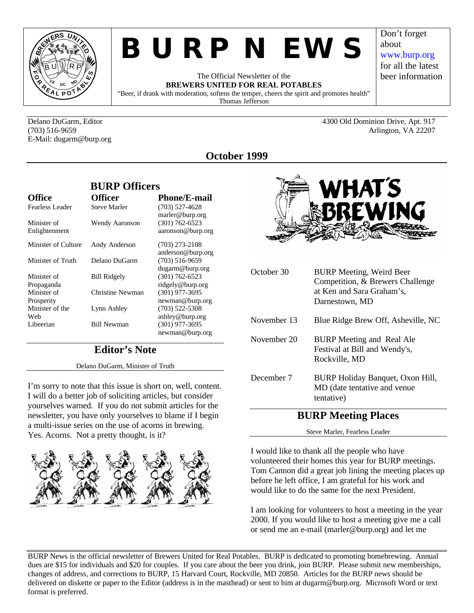

# *BURP NEWS*

The Official Newsletter of the **BREWERS UNITED FOR REAL POTABLES** "Beer, if drank with moderation, softens the temper, cheers the spirit and promotes health" Thomas Jefferson

E-Mail: dugarm@burp.org

Delano DuGarm, Editor 4300 Old Dominion Drive, Apt. 917 (703) 516-9659 Arlington, VA 22207

Don't forget

www.burp.org for all the latest beer information

about

**October 1999**

|                              | BURP Officers         |                                         |
|------------------------------|-----------------------|-----------------------------------------|
| <b>Office</b>                | <b>Officer</b>        | <b>Phone/E-mail</b>                     |
| Fearless Leader              | <b>Steve Marler</b>   | $(703)$ 527-4628<br>marler@burp.org     |
| Minister of<br>Enlightenment | <b>Wendy Aaronson</b> | $(301) 762 - 6523$<br>aaronson@burp.org |
| Minister of Culture          | Andy Anderson         | $(703)$ 273-2108<br>anderson@burp.org   |
| Minister of Truth            | Delano DuGarm         | $(703)$ 516-9659<br>dugarm@burp.org     |
| Minister of<br>Propaganda    | <b>Bill Ridgely</b>   | $(301) 762 - 6523$<br>ridgely@burp.org  |
| Minister of<br>Prosperity    | Christine Newman      | $(301)$ 977-3695<br>newman@burp.org     |
| Minister of the<br>Web       | Lynn Ashley           | $(703)$ 522-5308<br>ashley@burp.org     |
| Libeerian                    | <b>Bill Newman</b>    | $(301)$ 977-3695<br>newman@burp.org     |

 $\frac{1}{2}$ 

# **Editor's Note**

Delano DuGarm, Minister of Truth

I'm sorry to note that this issue is short on, well, content. I will do a better job of soliciting articles, but consider yourselves warned. If you do not submit articles for the newsletter, you have only yourselves to blame if I begin a multi-issue series on the use of acorns in brewing. Yes. Acorns. Not a pretty thought, is it?





| October 30  | <b>BURP Meeting, Weird Beer</b><br>Competition, & Brewers Challenge<br>at Ken and Sara Graham's,<br>Darnestown, MD |
|-------------|--------------------------------------------------------------------------------------------------------------------|
| November 13 | Blue Ridge Brew Off, Asheville, NC                                                                                 |
| November 20 | BURP Meeting and Real Ale<br>Festival at Bill and Wendy's,<br>Rockville, MD                                        |
| December 7  | BURP Holiday Banquet, Oxon Hill,<br>MD (date tentative and venue)<br>tentative)                                    |

## **BURP Meeting Places**

Steve Marler, Fearless Leader

I would like to thank all the people who have volunteered their homes this year for BURP meetings. Tom Cannon did a great job lining the meeting places up before he left office, I am grateful for his work and would like to do the same for the next President.

I am looking for volunteers to host a meeting in the year 2000. If you would like to host a meeting give me a call or send me an e-mail (marler@burp.org) and let me

BURP News is the official newsletter of Brewers United for Real Potables. BURP is dedicated to promoting homebrewing. Annual dues are \$15 for individuals and \$20 for couples. If you care about the beer you drink, join BURP. Please submit new memberships, changes of address, and corrections to BURP, 15 Harvard Court, Rockville, MD 20850. Articles for the BURP news should be delivered on diskette or paper to the Editor (address is in the masthead) or sent to him at dugarm@burp.org. Microsoft Word or text format is preferred.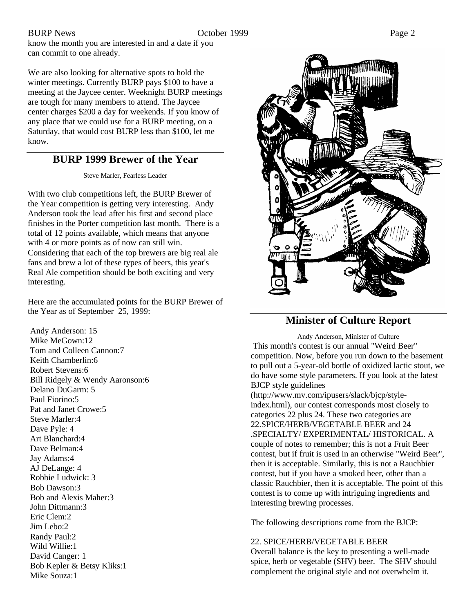BURP News Page 2

know the month you are interested in and a date if you can commit to one already.

We are also looking for alternative spots to hold the winter meetings. Currently BURP pays \$100 to have a meeting at the Jaycee center. Weeknight BURP meetings are tough for many members to attend. The Jaycee center charges \$200 a day for weekends. If you know of any place that we could use for a BURP meeting, on a Saturday, that would cost BURP less than \$100, let me know.

### **BURP 1999 Brewer of the Year**

Steve Marler, Fearless Leader

With two club competitions left, the BURP Brewer of the Year competition is getting very interesting. Andy Anderson took the lead after his first and second place finishes in the Porter competition last month. There is a total of 12 points available, which means that anyone with 4 or more points as of now can still win. Considering that each of the top brewers are big real ale fans and brew a lot of these types of beers, this year's Real Ale competition should be both exciting and very interesting.

Here are the accumulated points for the BURP Brewer of the Year as of September 25, 1999:

 Andy Anderson: 15 Mike MeGown:12 Tom and Colleen Cannon:7 Keith Chamberlin:6 Robert Stevens:6 Bill Ridgely & Wendy Aaronson:6 Delano DuGarm: 5 Paul Fiorino:5 Pat and Janet Crowe:5 Steve Marler:4 Dave Pyle: 4 Art Blanchard:4 Dave Belman:4 Jay Adams:4 AJ DeLange: 4 Robbie Ludwick: 3 Bob Dawson:3 Bob and Alexis Maher:3 John Dittmann:3 Eric Clem:2 Jim Lebo:2 Randy Paul:2 Wild Willie:1 David Canger: 1 Bob Kepler & Betsy Kliks:1 Mike Souza:1



## **Minister of Culture Report**

Andy Anderson, Minister of Culture

 This month's contest is our annual "Weird Beer" competition. Now, before you run down to the basement to pull out a 5-year-old bottle of oxidized lactic stout, we do have some style parameters. If you look at the latest BJCP style guidelines

(http://www.mv.com/ipusers/slack/bjcp/styleindex.html), our contest corresponds most closely to categories 22 plus 24. These two categories are 22.SPICE/HERB/VEGETABLE BEER and 24 .SPECIALTY/ EXPERIMENTAL/ HISTORICAL. A couple of notes to remember; this is not a Fruit Beer contest, but if fruit is used in an otherwise "Weird Beer", then it is acceptable. Similarly, this is not a Rauchbier contest, but if you have a smoked beer, other than a classic Rauchbier, then it is acceptable. The point of this contest is to come up with intriguing ingredients and interesting brewing processes.

The following descriptions come from the BJCP:

### 22. SPICE/HERB/VEGETABLE BEER

Overall balance is the key to presenting a well-made spice, herb or vegetable (SHV) beer. The SHV should complement the original style and not overwhelm it.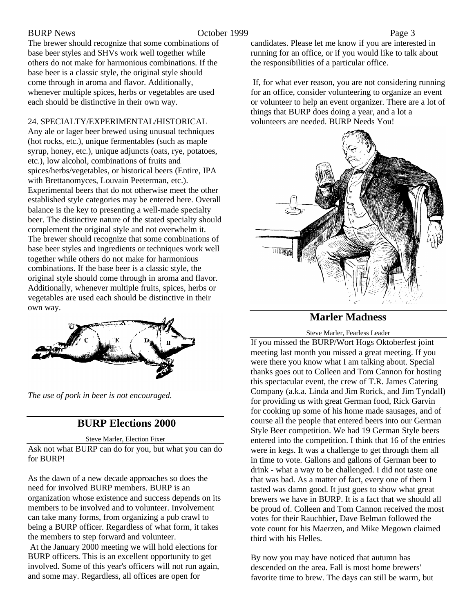The brewer should recognize that some combinations of base beer styles and SHVs work well together while others do not make for harmonious combinations. If the base beer is a classic style, the original style should come through in aroma and flavor. Additionally, whenever multiple spices, herbs or vegetables are used each should be distinctive in their own way.

24. SPECIALTY/EXPERIMENTAL/HISTORICAL

Any ale or lager beer brewed using unusual techniques (hot rocks, etc.), unique fermentables (such as maple syrup, honey, etc.), unique adjuncts (oats, rye, potatoes, etc.), low alcohol, combinations of fruits and spices/herbs/vegetables, or historical beers (Entire, IPA with Brettanomyces, Louvain Peeterman, etc.). Experimental beers that do not otherwise meet the other established style categories may be entered here. Overall balance is the key to presenting a well-made specialty beer. The distinctive nature of the stated specialty should complement the original style and not overwhelm it. The brewer should recognize that some combinations of base beer styles and ingredients or techniques work well together while others do not make for harmonious combinations. If the base beer is a classic style, the original style should come through in aroma and flavor. Additionally, whenever multiple fruits, spices, herbs or vegetables are used each should be distinctive in their own way.



*The use of pork in beer is not encouraged.*

# **BURP Elections 2000**

Steve Marler, Election Fixer

Ask not what BURP can do for you, but what you can do for BURP!

As the dawn of a new decade approaches so does the need for involved BURP members. BURP is an organization whose existence and success depends on its members to be involved and to volunteer. Involvement can take many forms, from organizing a pub crawl to being a BURP officer. Regardless of what form, it takes the members to step forward and volunteer.

 At the January 2000 meeting we will hold elections for BURP officers. This is an excellent opportunity to get involved. Some of this year's officers will not run again, and some may. Regardless, all offices are open for

candidates. Please let me know if you are interested in running for an office, or if you would like to talk about the responsibilities of a particular office.

 If, for what ever reason, you are not considering running for an office, consider volunteering to organize an event or volunteer to help an event organizer. There are a lot of things that BURP does doing a year, and a lot a volunteers are needed. BURP Needs You!



**Marler Madness**

Steve Marler, Fearless Leader

If you missed the BURP/Wort Hogs Oktoberfest joint meeting last month you missed a great meeting. If you were there you know what I am talking about. Special thanks goes out to Colleen and Tom Cannon for hosting this spectacular event, the crew of T.R. James Catering Company (a.k.a. Linda and Jim Rorick, and Jim Tyndall) for providing us with great German food, Rick Garvin for cooking up some of his home made sausages, and of course all the people that entered beers into our German Style Beer competition. We had 19 German Style beers entered into the competition. I think that 16 of the entries were in kegs. It was a challenge to get through them all in time to vote. Gallons and gallons of German beer to drink - what a way to be challenged. I did not taste one that was bad. As a matter of fact, every one of them I tasted was damn good. It just goes to show what great brewers we have in BURP. It is a fact that we should all be proud of. Colleen and Tom Cannon received the most votes for their Rauchbier, Dave Belman followed the vote count for his Maerzen, and Mike Megown claimed third with his Helles.

By now you may have noticed that autumn has descended on the area. Fall is most home brewers' favorite time to brew. The days can still be warm, but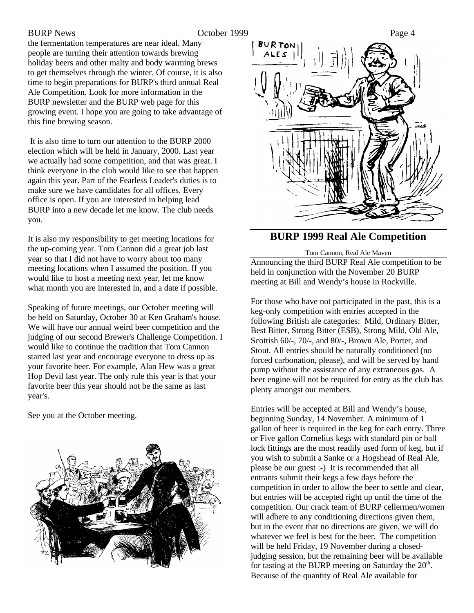the fermentation temperatures are near ideal. Many people are turning their attention towards brewing holiday beers and other malty and body warming brews to get themselves through the winter. Of course, it is also time to begin preparations for BURP's third annual Real Ale Competition. Look for more information in the BURP newsletter and the BURP web page for this growing event. I hope you are going to take advantage of this fine brewing season.

 It is also time to turn our attention to the BURP 2000 election which will be held in January, 2000. Last year we actually had some competition, and that was great. I think everyone in the club would like to see that happen again this year. Part of the Fearless Leader's duties is to make sure we have candidates for all offices. Every office is open. If you are interested in helping lead BURP into a new decade let me know. The club needs you.

It is also my responsibility to get meeting locations for the up-coming year. Tom Cannon did a great job last year so that I did not have to worry about too many meeting locations when I assumed the position. If you would like to host a meeting next year, let me know what month you are interested in, and a date if possible.

Speaking of future meetings, our October meeting will be held on Saturday, October 30 at Ken Graham's house. We will have our annual weird beer competition and the judging of our second Brewer's Challenge Competition. I would like to continue the tradition that Tom Cannon started last year and encourage everyone to dress up as your favorite beer. For example, Alan Hew was a great Hop Devil last year. The only rule this year is that your favorite beer this year should not be the same as last year's.

See you at the October meeting.





### **BURP 1999 Real Ale Competition**

Tom Cannon, Real Ale Maven Announcing the third BURP Real Ale competition to be held in conjunction with the November 20 BURP meeting at Bill and Wendy's house in Rockville.

For those who have not participated in the past, this is a keg-only competition with entries accepted in the following British ale categories: Mild, Ordinary Bitter, Best Bitter, Strong Bitter (ESB), Strong Mild, Old Ale, Scottish 60/-, 70/-, and 80/-, Brown Ale, Porter, and Stout. All entries should be naturally conditioned (no forced carbonation, please), and will be served by hand pump without the assistance of any extraneous gas. A beer engine will not be required for entry as the club has plenty amongst our members.

Entries will be accepted at Bill and Wendy's house, beginning Sunday, 14 November. A minimum of 1 gallon of beer is required in the keg for each entry. Three or Five gallon Cornelius kegs with standard pin or ball lock fittings are the most readily used form of keg, but if you wish to submit a Sanke or a Hogshead of Real Ale, please be our guest :-) It is recommended that all entrants submit their kegs a few days before the competition in order to allow the beer to settle and clear, but entries will be accepted right up until the time of the competition. Our crack team of BURP cellermen/women will adhere to any conditioning directions given them, but in the event that no directions are given, we will do whatever we feel is best for the beer. The competition will be held Friday, 19 November during a closedjudging session, but the remaining beer will be available for tasting at the BURP meeting on Saturday the  $20<sup>th</sup>$ . Because of the quantity of Real Ale available for